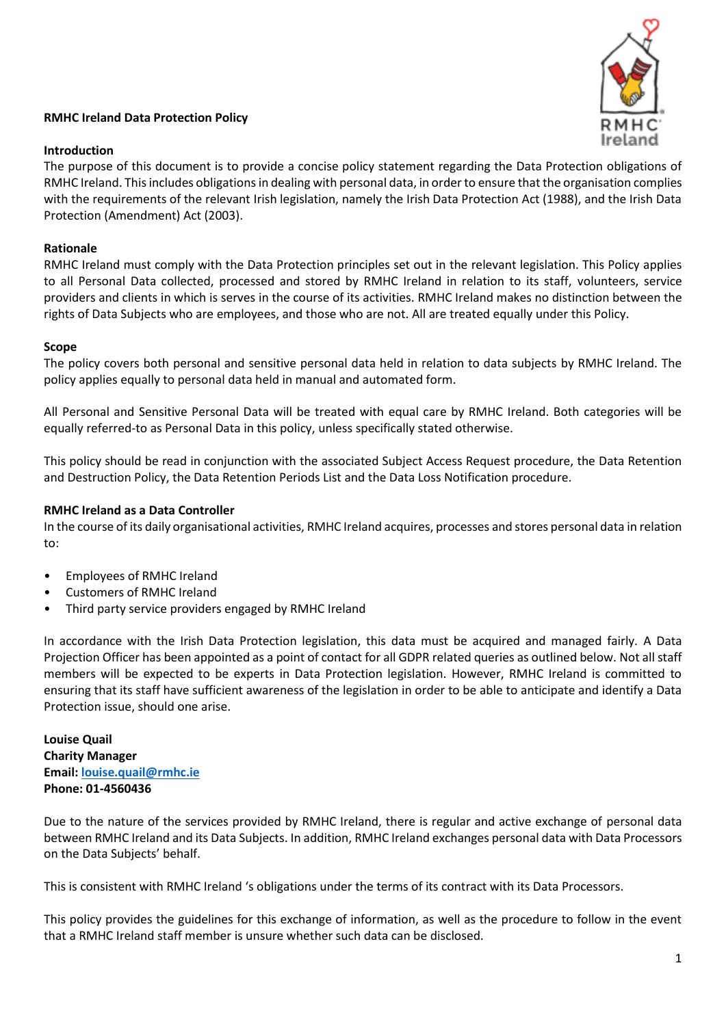# **RMHC Ireland Data Protection Policy**

## **Introduction**

The purpose of this document is to provide a concise policy statement regarding the Data Protection obligations of RMHC Ireland. This includes obligations in dealing with personal data, in order to ensure that the organisation complies with the requirements of the relevant Irish legislation, namely the Irish Data Protection Act (1988), and the Irish Data Protection (Amendment) Act (2003).

# **Rationale**

RMHC Ireland must comply with the Data Protection principles set out in the relevant legislation. This Policy applies to all Personal Data collected, processed and stored by RMHC Ireland in relation to its staff, volunteers, service providers and clients in which is serves in the course of its activities. RMHC Ireland makes no distinction between the rights of Data Subjects who are employees, and those who are not. All are treated equally under this Policy.

## **Scope**

The policy covers both personal and sensitive personal data held in relation to data subjects by RMHC Ireland. The policy applies equally to personal data held in manual and automated form.

All Personal and Sensitive Personal Data will be treated with equal care by RMHC Ireland. Both categories will be equally referred-to as Personal Data in this policy, unless specifically stated otherwise.

This policy should be read in conjunction with the associated Subject Access Request procedure, the Data Retention and Destruction Policy, the Data Retention Periods List and the Data Loss Notification procedure.

## **RMHC Ireland as a Data Controller**

In the course of its daily organisational activities, RMHC Ireland acquires, processes and stores personal data in relation to:

- Employees of RMHC Ireland
- Customers of RMHC Ireland
- Third party service providers engaged by RMHC Ireland

In accordance with the Irish Data Protection legislation, this data must be acquired and managed fairly. A Data Projection Officer has been appointed as a point of contact for all GDPR related queries as outlined below. Not all staff members will be expected to be experts in Data Protection legislation. However, RMHC Ireland is committed to ensuring that its staff have sufficient awareness of the legislation in order to be able to anticipate and identify a Data Protection issue, should one arise.

**Louise Quail Charity Manager Email[: louise.quail@rmhc.ie](mailto:louise.quail@rmhc.ie) Phone: 01-4560436** 

Due to the nature of the services provided by RMHC Ireland, there is regular and active exchange of personal data between RMHC Ireland and its Data Subjects. In addition, RMHC Ireland exchanges personal data with Data Processors on the Data Subjects' behalf.

This is consistent with RMHC Ireland 's obligations under the terms of its contract with its Data Processors.

This policy provides the guidelines for this exchange of information, as well as the procedure to follow in the event that a RMHC Ireland staff member is unsure whether such data can be disclosed.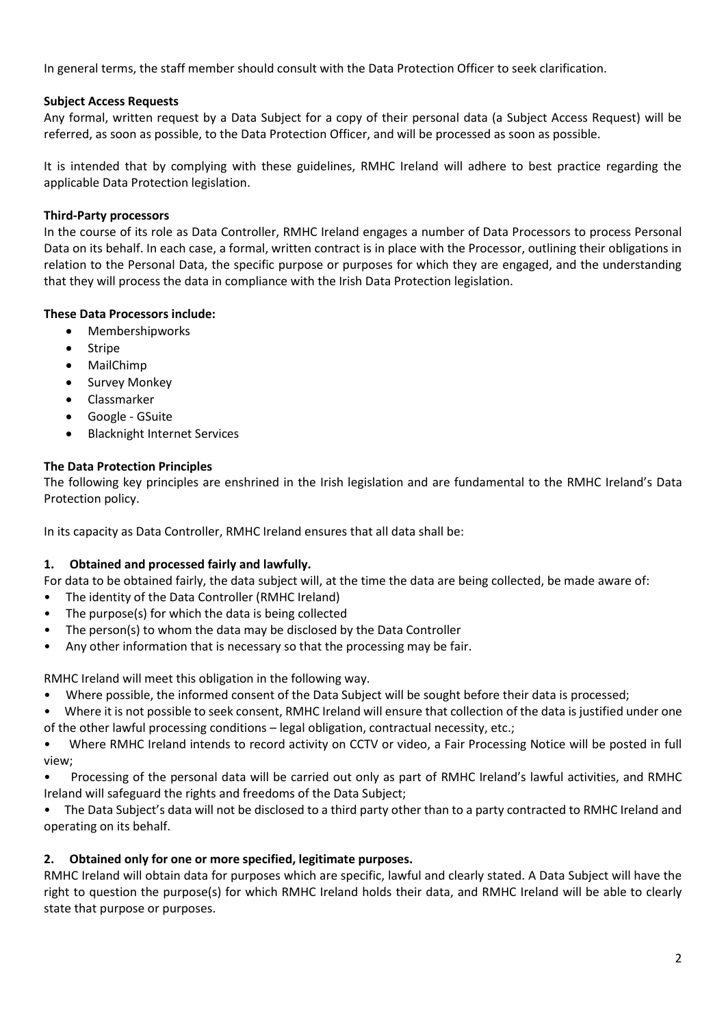In general terms, the staff member should consult with the Data Protection Officer to seek clarification.

## **Subject Access Requests**

Any formal, written request by a Data Subject for a copy of their personal data (a Subject Access Request) will be referred, as soon as possible, to the Data Protection Officer, and will be processed as soon as possible.

It is intended that by complying with these guidelines, RMHC Ireland will adhere to best practice regarding the applicable Data Protection legislation.

## **Third-Party processors**

In the course of its role as Data Controller, RMHC Ireland engages a number of Data Processors to process Personal Data on its behalf. In each case, a formal, written contract is in place with the Processor, outlining their obligations in relation to the Personal Data, the specific purpose or purposes for which they are engaged, and the understanding that they will process the data in compliance with the Irish Data Protection legislation.

## **These Data Processors include:**

- Membershipworks
- Stripe
- MailChimp
- Survey Monkey
- Classmarker
- Google GSuite
- Blacknight Internet Services

## **The Data Protection Principles**

The following key principles are enshrined in the Irish legislation and are fundamental to the RMHC Ireland's Data Protection policy.

In its capacity as Data Controller, RMHC Ireland ensures that all data shall be:

## **1. Obtained and processed fairly and lawfully.**

For data to be obtained fairly, the data subject will, at the time the data are being collected, be made aware of:

- The identity of the Data Controller (RMHC Ireland)
- The purpose(s) for which the data is being collected
- The person(s) to whom the data may be disclosed by the Data Controller
- Any other information that is necessary so that the processing may be fair.

RMHC Ireland will meet this obligation in the following way.

- Where possible, the informed consent of the Data Subject will be sought before their data is processed;
- Where it is not possible to seek consent, RMHC Ireland will ensure that collection of the data is justified under one of the other lawful processing conditions – legal obligation, contractual necessity, etc.;

• Where RMHC Ireland intends to record activity on CCTV or video, a Fair Processing Notice will be posted in full view;

• Processing of the personal data will be carried out only as part of RMHC Ireland's lawful activities, and RMHC Ireland will safeguard the rights and freedoms of the Data Subject;

• The Data Subject's data will not be disclosed to a third party other than to a party contracted to RMHC Ireland and operating on its behalf.

## **2. Obtained only for one or more specified, legitimate purposes.**

RMHC Ireland will obtain data for purposes which are specific, lawful and clearly stated. A Data Subject will have the right to question the purpose(s) for which RMHC Ireland holds their data, and RMHC Ireland will be able to clearly state that purpose or purposes.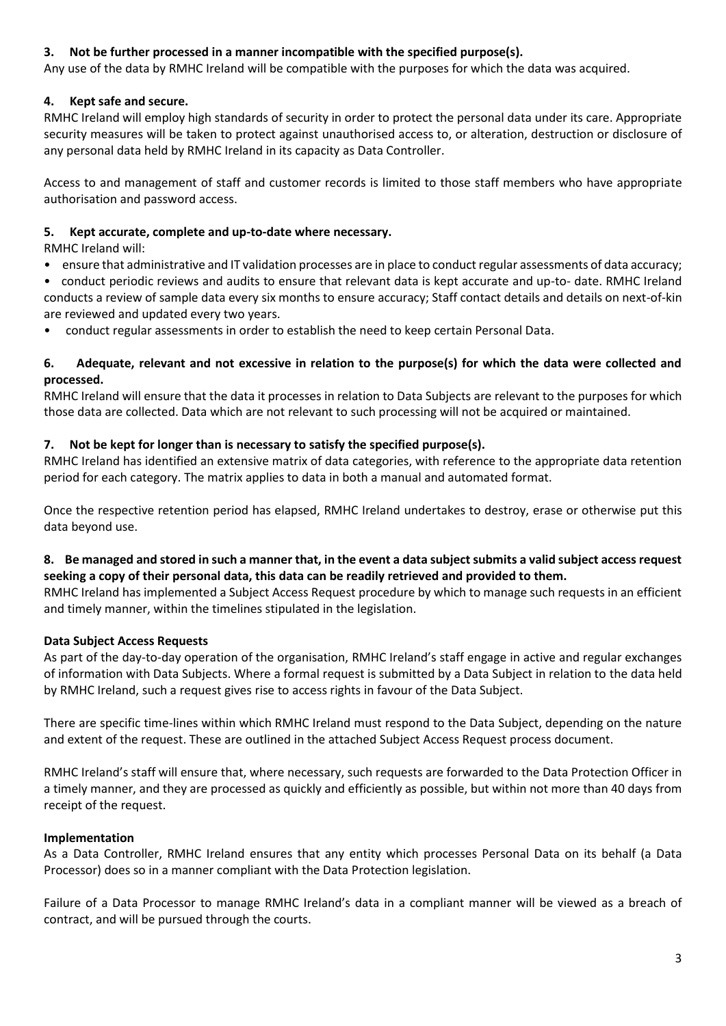## **3. Not be further processed in a manner incompatible with the specified purpose(s).**

Any use of the data by RMHC Ireland will be compatible with the purposes for which the data was acquired.

## **4. Kept safe and secure.**

RMHC Ireland will employ high standards of security in order to protect the personal data under its care. Appropriate security measures will be taken to protect against unauthorised access to, or alteration, destruction or disclosure of any personal data held by RMHC Ireland in its capacity as Data Controller.

Access to and management of staff and customer records is limited to those staff members who have appropriate authorisation and password access.

## **5. Kept accurate, complete and up-to-date where necessary.**

RMHC Ireland will:

• ensure that administrative and IT validation processes are in place to conduct regular assessments of data accuracy;

• conduct periodic reviews and audits to ensure that relevant data is kept accurate and up-to- date. RMHC Ireland conducts a review of sample data every six months to ensure accuracy; Staff contact details and details on next-of-kin are reviewed and updated every two years.

• conduct regular assessments in order to establish the need to keep certain Personal Data.

## **6. Adequate, relevant and not excessive in relation to the purpose(s) for which the data were collected and processed.**

RMHC Ireland will ensure that the data it processes in relation to Data Subjects are relevant to the purposes for which those data are collected. Data which are not relevant to such processing will not be acquired or maintained.

# **7. Not be kept for longer than is necessary to satisfy the specified purpose(s).**

RMHC Ireland has identified an extensive matrix of data categories, with reference to the appropriate data retention period for each category. The matrix applies to data in both a manual and automated format.

Once the respective retention period has elapsed, RMHC Ireland undertakes to destroy, erase or otherwise put this data beyond use.

## **8. Be managed and stored in such a manner that, in the event a data subject submits a valid subject access request seeking a copy of their personal data, this data can be readily retrieved and provided to them.**

RMHC Ireland has implemented a Subject Access Request procedure by which to manage such requests in an efficient and timely manner, within the timelines stipulated in the legislation.

## **Data Subject Access Requests**

As part of the day-to-day operation of the organisation, RMHC Ireland's staff engage in active and regular exchanges of information with Data Subjects. Where a formal request is submitted by a Data Subject in relation to the data held by RMHC Ireland, such a request gives rise to access rights in favour of the Data Subject.

There are specific time-lines within which RMHC Ireland must respond to the Data Subject, depending on the nature and extent of the request. These are outlined in the attached Subject Access Request process document.

RMHC Ireland's staff will ensure that, where necessary, such requests are forwarded to the Data Protection Officer in a timely manner, and they are processed as quickly and efficiently as possible, but within not more than 40 days from receipt of the request.

## **Implementation**

As a Data Controller, RMHC Ireland ensures that any entity which processes Personal Data on its behalf (a Data Processor) does so in a manner compliant with the Data Protection legislation.

Failure of a Data Processor to manage RMHC Ireland's data in a compliant manner will be viewed as a breach of contract, and will be pursued through the courts.